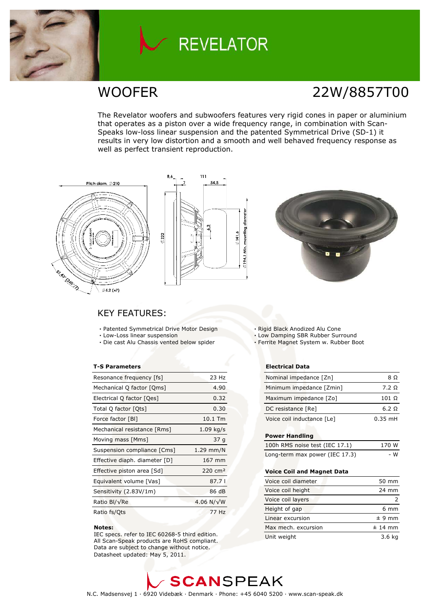

# **REVELATOR**

## **WOOFER**

# 22W/8857T00

The Revelator woofers and subwoofers features very rigid cones in paper or aluminium that operates as a piston over a wide frequency range, in combination with Scan-Speaks low-loss linear suspension and the patented Symmetrical Drive (SD-1) it results in very low distortion and a smooth and well behaved frequency response as well as perfect transient reproduction.







### **KEY FEATURES:**

- · Patented Symmetrical Drive Motor Design
- · Low-Loss linear suspension
- · Die cast Alu Chassis vented below spider

#### **T-S Parameters**

| Resonance frequency [fs]      | 23 Hz              |
|-------------------------------|--------------------|
| Mechanical Q factor [Qms]     | 4.90               |
| Electrical Q factor [Qes]     | 0.32               |
| Total Q factor [Ots]          | 0.30               |
| Force factor [BI]             | 10.1 Tm            |
| Mechanical resistance [Rms]   | $1.09$ kg/s        |
| Moving mass [Mms]             | 37 g               |
| Suspension compliance [Cms]   | $1.29$ mm/N        |
| Effective diaph. diameter [D] | 167 mm             |
| Effective piston area [Sd]    | $220 \text{ cm}^2$ |
| Equivalent volume [Vas]       | 87.71              |
| Sensitivity (2.83V/1m)        | 86 dB              |
| Ratio Bl/√Re                  | 4.06 N/ $\sqrt{W}$ |
| Ratio fs/Qts                  | 77 Hz              |

#### Notes:

IEC specs. refer to IEC 60268-5 third edition. All Scan-Speak products are RoHS compliant. Data are subject to change without notice. Datasheet updated: May 5, 2011.

- · Rigid Black Anodized Alu Cone
- . Low Damping SBR Rubber Surround
- · Ferrite Magnet System w. Rubber Boot

#### **Electrical Data**

| Nominal impedance [Zn]     | 8Ω        |
|----------------------------|-----------|
| Minimum impedance [Zmin]   | 7.2 Q     |
| Maximum impedance [Zo]     | 101 Ω     |
| DC resistance [Re]         | 6.2 Q     |
| Voice coil inductance [Le] | $0.35$ mH |

#### **Power Handling**

| 100h RMS noise test (IEC 17.1) | 170 W |
|--------------------------------|-------|
| Long-term max power (IEC 17.3) | - W   |

#### **Voice Coil and Magnet Data**

| Voice coil diameter | 50 mm          |
|---------------------|----------------|
| Voice coil height   | 24 mm          |
| Voice coil layers   |                |
| Height of gap       | $6 \text{ mm}$ |
| Linear excursion    | $± 9$ mm       |
| Max mech, excursion | $±$ 14 mm      |
| Unit weight         | 3.6 ka         |